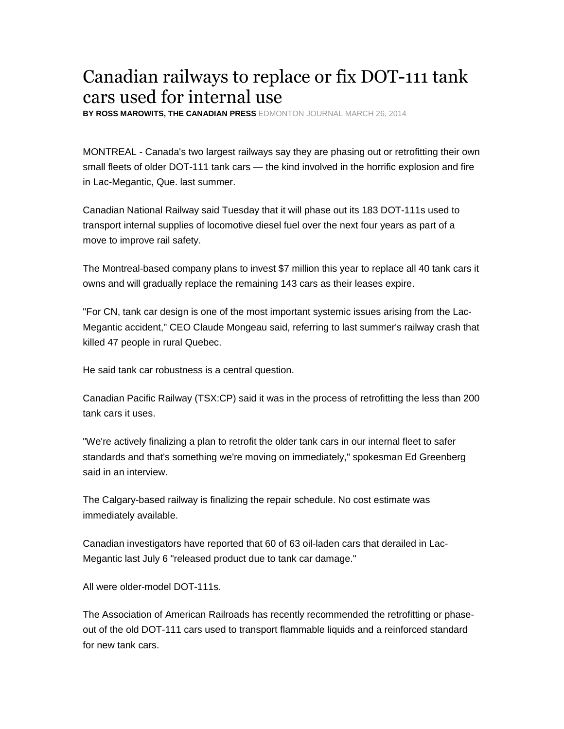## Canadian railways to replace or fix DOT-111 tank cars used for internal use

**BY ROSS MAROWITS, THE CANADIAN PRESS** EDMONTON JOURNAL MARCH 26, 2014

MONTREAL - Canada's two largest railways say they are phasing out or retrofitting their own small fleets of older DOT-111 tank cars — the kind involved in the horrific explosion and fire in Lac-Megantic, Que. last summer.

Canadian National Railway said Tuesday that it will phase out its 183 DOT-111s used to transport internal supplies of locomotive diesel fuel over the next four years as part of a move to improve rail safety.

The Montreal-based company plans to invest \$7 million this year to replace all 40 tank cars it owns and will gradually replace the remaining 143 cars as their leases expire.

"For CN, tank car design is one of the most important systemic issues arising from the Lac-Megantic accident," CEO Claude Mongeau said, referring to last summer's railway crash that killed 47 people in rural Quebec.

He said tank car robustness is a central question.

Canadian Pacific Railway (TSX:CP) said it was in the process of retrofitting the less than 200 tank cars it uses.

"We're actively finalizing a plan to retrofit the older tank cars in our internal fleet to safer standards and that's something we're moving on immediately," spokesman Ed Greenberg said in an interview.

The Calgary-based railway is finalizing the repair schedule. No cost estimate was immediately available.

Canadian investigators have reported that 60 of 63 oil-laden cars that derailed in Lac-Megantic last July 6 "released product due to tank car damage."

All were older-model DOT-111s.

The Association of American Railroads has recently recommended the retrofitting or phaseout of the old DOT-111 cars used to transport flammable liquids and a reinforced standard for new tank cars.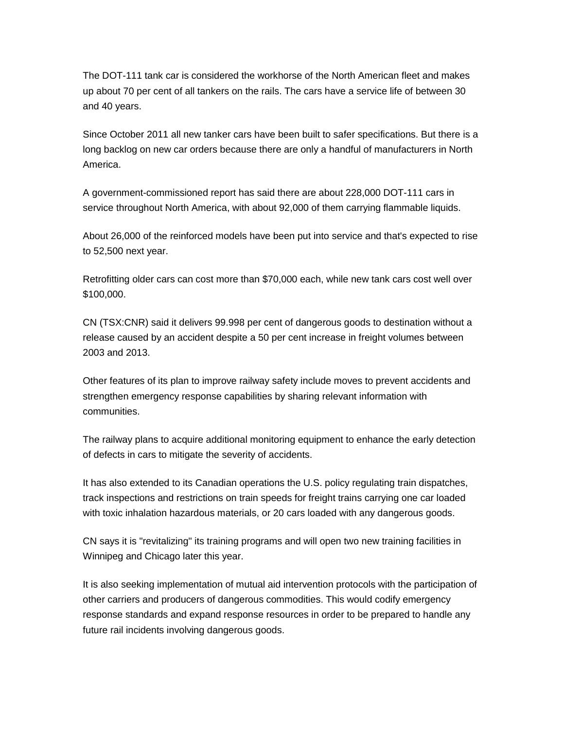The DOT-111 tank car is considered the workhorse of the North American fleet and makes up about 70 per cent of all tankers on the rails. The cars have a service life of between 30 and 40 years.

Since October 2011 all new tanker cars have been built to safer specifications. But there is a long backlog on new car orders because there are only a handful of manufacturers in North America.

A government-commissioned report has said there are about 228,000 DOT-111 cars in service throughout North America, with about 92,000 of them carrying flammable liquids.

About 26,000 of the reinforced models have been put into service and that's expected to rise to 52,500 next year.

Retrofitting older cars can cost more than \$70,000 each, while new tank cars cost well over \$100,000.

CN (TSX:CNR) said it delivers 99.998 per cent of dangerous goods to destination without a release caused by an accident despite a 50 per cent increase in freight volumes between 2003 and 2013.

Other features of its plan to improve railway safety include moves to prevent accidents and strengthen emergency response capabilities by sharing relevant information with communities.

The railway plans to acquire additional monitoring equipment to enhance the early detection of defects in cars to mitigate the severity of accidents.

It has also extended to its Canadian operations the U.S. policy regulating train dispatches, track inspections and restrictions on train speeds for freight trains carrying one car loaded with toxic inhalation hazardous materials, or 20 cars loaded with any dangerous goods.

CN says it is "revitalizing" its training programs and will open two new training facilities in Winnipeg and Chicago later this year.

It is also seeking implementation of mutual aid intervention protocols with the participation of other carriers and producers of dangerous commodities. This would codify emergency response standards and expand response resources in order to be prepared to handle any future rail incidents involving dangerous goods.